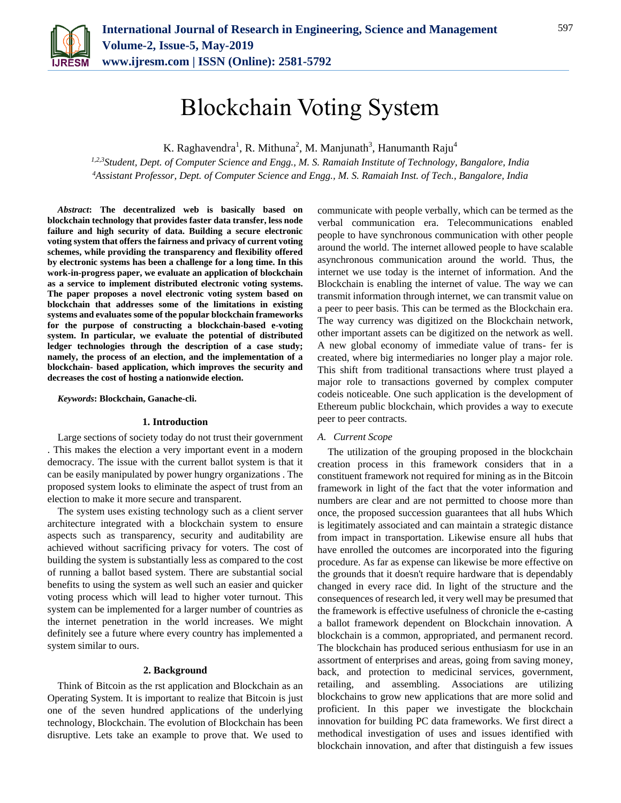

# Blockchain Voting System

K. Raghavendra<sup>1</sup>, R. Mithuna<sup>2</sup>, M. Manjunath<sup>3</sup>, Hanumanth Raju<sup>4</sup>

*1,2,3Student, Dept. of Computer Science and Engg., M. S. Ramaiah Institute of Technology, Bangalore, India <sup>4</sup>Assistant Professor, Dept. of Computer Science and Engg., M. S. Ramaiah Inst. of Tech., Bangalore, India*

*Abstract***: The decentralized web is basically based on blockchain technology that provides faster data transfer, less node failure and high security of data. Building a secure electronic voting system that offers the fairness and privacy of current voting schemes, while providing the transparency and flexibility offered by electronic systems has been a challenge for a long time. In this work-in-progress paper, we evaluate an application of blockchain as a service to implement distributed electronic voting systems. The paper proposes a novel electronic voting system based on blockchain that addresses some of the limitations in existing systems and evaluates some of the popular blockchain frameworks for the purpose of constructing a blockchain-based e-voting system. In particular, we evaluate the potential of distributed ledger technologies through the description of a case study; namely, the process of an election, and the implementation of a blockchain- based application, which improves the security and decreases the cost of hosting a nationwide election.**

*Keywords***: Blockchain, Ganache-cli.**

## **1. Introduction**

Large sections of society today do not trust their government . This makes the election a very important event in a modern democracy. The issue with the current ballot system is that it can be easily manipulated by power hungry organizations . The proposed system looks to eliminate the aspect of trust from an election to make it more secure and transparent.

The system uses existing technology such as a client server architecture integrated with a blockchain system to ensure aspects such as transparency, security and auditability are achieved without sacrificing privacy for voters. The cost of building the system is substantially less as compared to the cost of running a ballot based system. There are substantial social benefits to using the system as well such an easier and quicker voting process which will lead to higher voter turnout. This system can be implemented for a larger number of countries as the internet penetration in the world increases. We might definitely see a future where every country has implemented a system similar to ours.

## **2. Background**

Think of Bitcoin as the rst application and Blockchain as an Operating System. It is important to realize that Bitcoin is just one of the seven hundred applications of the underlying technology, Blockchain. The evolution of Blockchain has been disruptive. Lets take an example to prove that. We used to

communicate with people verbally, which can be termed as the verbal communication era. Telecommunications enabled people to have synchronous communication with other people around the world. The internet allowed people to have scalable asynchronous communication around the world. Thus, the internet we use today is the internet of information. And the Blockchain is enabling the internet of value. The way we can transmit information through internet, we can transmit value on a peer to peer basis. This can be termed as the Blockchain era. The way currency was digitized on the Blockchain network, other important assets can be digitized on the network as well. A new global economy of immediate value of trans- fer is created, where big intermediaries no longer play a major role. This shift from traditional transactions where trust played a major role to transactions governed by complex computer codeis noticeable. One such application is the development of Ethereum public blockchain, which provides a way to execute peer to peer contracts.

## *A. Current Scope*

The utilization of the grouping proposed in the blockchain creation process in this framework considers that in a constituent framework not required for mining as in the Bitcoin framework in light of the fact that the voter information and numbers are clear and are not permitted to choose more than once, the proposed succession guarantees that all hubs Which is legitimately associated and can maintain a strategic distance from impact in transportation. Likewise ensure all hubs that have enrolled the outcomes are incorporated into the figuring procedure. As far as expense can likewise be more effective on the grounds that it doesn't require hardware that is dependably changed in every race did. In light of the structure and the consequences of research led, it very well may be presumed that the framework is effective usefulness of chronicle the e-casting a ballot framework dependent on Blockchain innovation. A blockchain is a common, appropriated, and permanent record. The blockchain has produced serious enthusiasm for use in an assortment of enterprises and areas, going from saving money, back, and protection to medicinal services, government, retailing, and assembling. Associations are utilizing blockchains to grow new applications that are more solid and proficient. In this paper we investigate the blockchain innovation for building PC data frameworks. We first direct a methodical investigation of uses and issues identified with blockchain innovation, and after that distinguish a few issues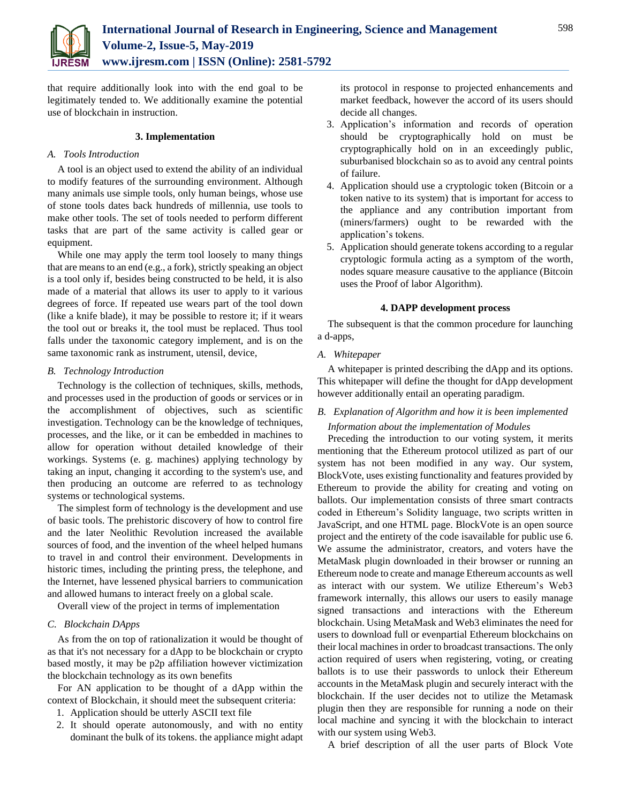

that require additionally look into with the end goal to be legitimately tended to. We additionally examine the potential use of blockchain in instruction.

# **3. Implementation**

## *A. Tools Introduction*

A tool is an object used to extend the ability of an individual to modify features of the surrounding environment. Although many animals use simple tools, only human beings, whose use of stone tools dates back hundreds of millennia, use tools to make other tools. The set of tools needed to perform different tasks that are part of the same activity is called gear or equipment.

While one may apply the term tool loosely to many things that are means to an end (e.g., a fork), strictly speaking an object is a tool only if, besides being constructed to be held, it is also made of a material that allows its user to apply to it various degrees of force. If repeated use wears part of the tool down (like a knife blade), it may be possible to restore it; if it wears the tool out or breaks it, the tool must be replaced. Thus tool falls under the taxonomic category implement, and is on the same taxonomic rank as instrument, utensil, device,

## *B. Technology Introduction*

Technology is the collection of techniques, skills, methods, and processes used in the production of goods or services or in the accomplishment of objectives, such as scientific investigation. Technology can be the knowledge of techniques, processes, and the like, or it can be embedded in machines to allow for operation without detailed knowledge of their workings. Systems (e. g. machines) applying technology by taking an input, changing it according to the system's use, and then producing an outcome are referred to as technology systems or technological systems.

The simplest form of technology is the development and use of basic tools. The prehistoric discovery of how to control fire and the later Neolithic Revolution increased the available sources of food, and the invention of the wheel helped humans to travel in and control their environment. Developments in historic times, including the printing press, the telephone, and the Internet, have lessened physical barriers to communication and allowed humans to interact freely on a global scale.

Overall view of the project in terms of implementation

# *C. Blockchain DApps*

As from the on top of rationalization it would be thought of as that it's not necessary for a dApp to be blockchain or crypto based mostly, it may be p2p affiliation however victimization the blockchain technology as its own benefits

For AN application to be thought of a dApp within the context of Blockchain, it should meet the subsequent criteria:

- 1. Application should be utterly ASCII text file
- 2. It should operate autonomously, and with no entity dominant the bulk of its tokens. the appliance might adapt

its protocol in response to projected enhancements and market feedback, however the accord of its users should decide all changes.

- 3. Application's information and records of operation should be cryptographically hold on must be cryptographically hold on in an exceedingly public, suburbanised blockchain so as to avoid any central points of failure.
- 4. Application should use a cryptologic token (Bitcoin or a token native to its system) that is important for access to the appliance and any contribution important from (miners/farmers) ought to be rewarded with the application's tokens.
- 5. Application should generate tokens according to a regular cryptologic formula acting as a symptom of the worth, nodes square measure causative to the appliance (Bitcoin uses the Proof of labor Algorithm).

## **4. DAPP development process**

The subsequent is that the common procedure for launching a d-apps,

*A. Whitepaper* 

A whitepaper is printed describing the dApp and its options. This whitepaper will define the thought for dApp development however additionally entail an operating paradigm.

# *B. Explanation of Algorithm and how it is been implemented Information about the implementation of Modules*

Preceding the introduction to our voting system, it merits mentioning that the Ethereum protocol utilized as part of our system has not been modified in any way. Our system, BlockVote, uses existing functionality and features provided by Ethereum to provide the ability for creating and voting on ballots. Our implementation consists of three smart contracts coded in Ethereum's Solidity language, two scripts written in JavaScript, and one HTML page. BlockVote is an open source project and the entirety of the code isavailable for public use 6. We assume the administrator, creators, and voters have the MetaMask plugin downloaded in their browser or running an Ethereum node to create and manage Ethereum accounts as well as interact with our system. We utilize Ethereum's Web3 framework internally, this allows our users to easily manage signed transactions and interactions with the Ethereum blockchain. Using MetaMask and Web3 eliminates the need for users to download full or evenpartial Ethereum blockchains on their local machines in order to broadcast transactions. The only action required of users when registering, voting, or creating ballots is to use their passwords to unlock their Ethereum accounts in the MetaMask plugin and securely interact with the blockchain. If the user decides not to utilize the Metamask plugin then they are responsible for running a node on their local machine and syncing it with the blockchain to interact with our system using Web3.

A brief description of all the user parts of Block Vote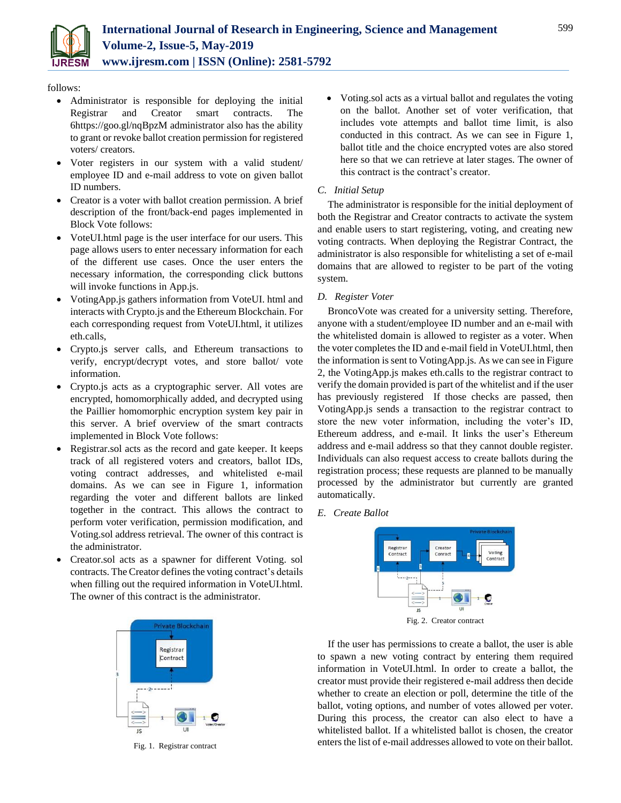

# follows:

- Administrator is responsible for deploying the initial Registrar and Creator smart contracts. The 6https://goo.gl/nqBpzM administrator also has the ability to grant or revoke ballot creation permission for registered voters/ creators.
- Voter registers in our system with a valid student/ employee ID and e-mail address to vote on given ballot ID numbers.
- Creator is a voter with ballot creation permission. A brief description of the front/back-end pages implemented in Block Vote follows:
- VoteUI.html page is the user interface for our users. This page allows users to enter necessary information for each of the different use cases. Once the user enters the necessary information, the corresponding click buttons will invoke functions in App.js.
- VotingApp.js gathers information from VoteUI. html and interacts with Crypto.js and the Ethereum Blockchain. For each corresponding request from VoteUI.html, it utilizes eth.calls,
- Crypto.js server calls, and Ethereum transactions to verify, encrypt/decrypt votes, and store ballot/ vote information.
- Crypto.js acts as a cryptographic server. All votes are encrypted, homomorphically added, and decrypted using the Paillier homomorphic encryption system key pair in this server. A brief overview of the smart contracts implemented in Block Vote follows:
- Registrar.sol acts as the record and gate keeper. It keeps track of all registered voters and creators, ballot IDs, voting contract addresses, and whitelisted e-mail domains. As we can see in Figure 1, information regarding the voter and different ballots are linked together in the contract. This allows the contract to perform voter verification, permission modification, and Voting.sol address retrieval. The owner of this contract is the administrator.
- Creator.sol acts as a spawner for different Voting. sol contracts. The Creator defines the voting contract's details when filling out the required information in VoteUI.html. The owner of this contract is the administrator.



Fig. 1. Registrar contract

• Voting sol acts as a virtual ballot and regulates the voting on the ballot. Another set of voter verification, that includes vote attempts and ballot time limit, is also conducted in this contract. As we can see in Figure 1, ballot title and the choice encrypted votes are also stored here so that we can retrieve at later stages. The owner of this contract is the contract's creator.

# *C. Initial Setup*

The administrator is responsible for the initial deployment of both the Registrar and Creator contracts to activate the system and enable users to start registering, voting, and creating new voting contracts. When deploying the Registrar Contract, the administrator is also responsible for whitelisting a set of e-mail domains that are allowed to register to be part of the voting system.

# *D. Register Voter*

BroncoVote was created for a university setting. Therefore, anyone with a student/employee ID number and an e-mail with the whitelisted domain is allowed to register as a voter. When the voter completes the ID and e-mail field in VoteUI.html, then the information is sent to VotingApp.js. As we can see in Figure 2, the VotingApp.js makes eth.calls to the registrar contract to verify the domain provided is part of the whitelist and if the user has previously registered If those checks are passed, then VotingApp.js sends a transaction to the registrar contract to store the new voter information, including the voter's ID, Ethereum address, and e-mail. It links the user's Ethereum address and e-mail address so that they cannot double register. Individuals can also request access to create ballots during the registration process; these requests are planned to be manually processed by the administrator but currently are granted automatically.

*E. Create Ballot*



If the user has permissions to create a ballot, the user is able to spawn a new voting contract by entering them required information in VoteUI.html. In order to create a ballot, the creator must provide their registered e-mail address then decide whether to create an election or poll, determine the title of the ballot, voting options, and number of votes allowed per voter. During this process, the creator can also elect to have a whitelisted ballot. If a whitelisted ballot is chosen, the creator enters the list of e-mail addresses allowed to vote on their ballot.